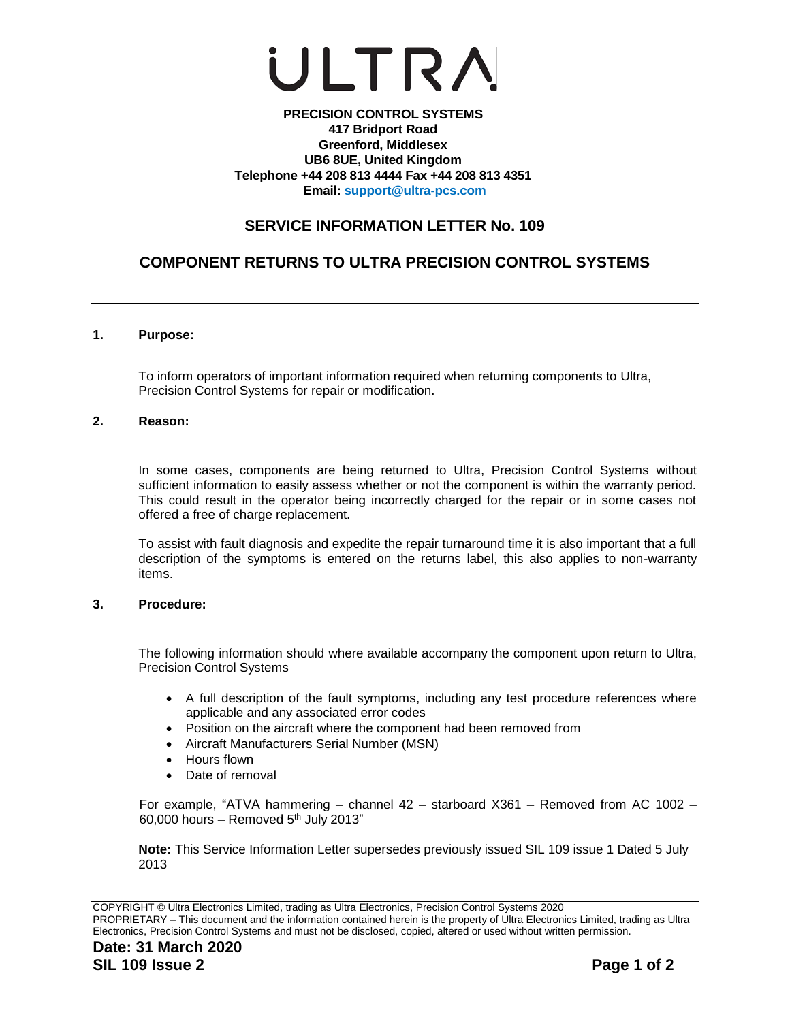

### **PRECISION CONTROL SYSTEMS 417 Bridport Road Greenford, Middlesex UB6 8UE, United Kingdom Telephone +44 208 813 4444 Fax +44 208 813 4351 Email: [support@ultra-pcs.com](mailto:support@ultra-pcs.com)**

# **SERVICE INFORMATION LETTER No. 109**

# **COMPONENT RETURNS TO ULTRA PRECISION CONTROL SYSTEMS**

### **1. Purpose:**

To inform operators of important information required when returning components to Ultra, Precision Control Systems for repair or modification.

### **2. Reason:**

In some cases, components are being returned to Ultra, Precision Control Systems without sufficient information to easily assess whether or not the component is within the warranty period. This could result in the operator being incorrectly charged for the repair or in some cases not offered a free of charge replacement.

To assist with fault diagnosis and expedite the repair turnaround time it is also important that a full description of the symptoms is entered on the returns label, this also applies to non-warranty items.

#### **3. Procedure:**

The following information should where available accompany the component upon return to Ultra, Precision Control Systems

- A full description of the fault symptoms, including any test procedure references where applicable and any associated error codes
- Position on the aircraft where the component had been removed from
- Aircraft Manufacturers Serial Number (MSN)
- Hours flown
- Date of removal

For example, "ATVA hammering – channel 42 – starboard X361 – Removed from AC 1002 – 60,000 hours – Removed  $5<sup>th</sup>$  July 2013"

**Note:** This Service Information Letter supersedes previously issued SIL 109 issue 1 Dated 5 July 2013

COPYRIGHT © Ultra Electronics Limited, trading as Ultra Electronics, Precision Control Systems 2020 PROPRIETARY – This document and the information contained herein is the property of Ultra Electronics Limited, trading as Ultra Electronics, Precision Control Systems and must not be disclosed, copied, altered or used without written permission.